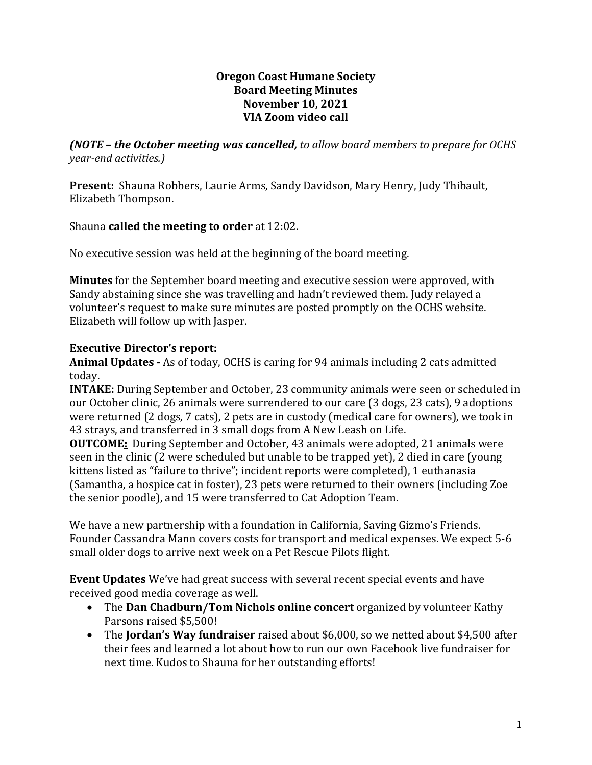## **Oregon Coast Humane Society Board Meeting Minutes November 10, 2021 VIA Zoom video call**

*(NOTE – the October meeting was cancelled, to allow board members to prepare for OCHS year-end activities.)*

**Present:** Shauna Robbers, Laurie Arms, Sandy Davidson, Mary Henry, Judy Thibault, Elizabeth Thompson.

Shauna **called the meeting to order** at 12:02.

No executive session was held at the beginning of the board meeting.

**Minutes** for the September board meeting and executive session were approved, with Sandy abstaining since she was travelling and hadn't reviewed them. Judy relayed a volunteer's request to make sure minutes are posted promptly on the OCHS website. Elizabeth will follow up with Jasper.

## **Executive Director's report:**

**Animal Updates -** As of today, OCHS is caring for 94 animals including 2 cats admitted today.

**INTAKE:** During September and October, 23 community animals were seen or scheduled in our October clinic, 26 animals were surrendered to our care (3 dogs, 23 cats), 9 adoptions were returned (2 dogs, 7 cats), 2 pets are in custody (medical care for owners), we took in 43 strays, and transferred in 3 small dogs from A New Leash on Life.

**OUTCOME:** During September and October, 43 animals were adopted, 21 animals were seen in the clinic (2 were scheduled but unable to be trapped yet), 2 died in care (young kittens listed as "failure to thrive"; incident reports were completed), 1 euthanasia (Samantha, a hospice cat in foster), 23 pets were returned to their owners (including Zoe the senior poodle), and 15 were transferred to Cat Adoption Team.

We have a new partnership with a foundation in California, Saving Gizmo's Friends. Founder Cassandra Mann covers costs for transport and medical expenses. We expect 5-6 small older dogs to arrive next week on a Pet Rescue Pilots flight.

**Event Updates** We've had great success with several recent special events and have received good media coverage as well.

- The **Dan Chadburn/Tom Nichols online concert** organized by volunteer Kathy Parsons raised \$5,500!
- The **Jordan's Way fundraiser** raised about \$6,000, so we netted about \$4,500 after their fees and learned a lot about how to run our own Facebook live fundraiser for next time. Kudos to Shauna for her outstanding efforts!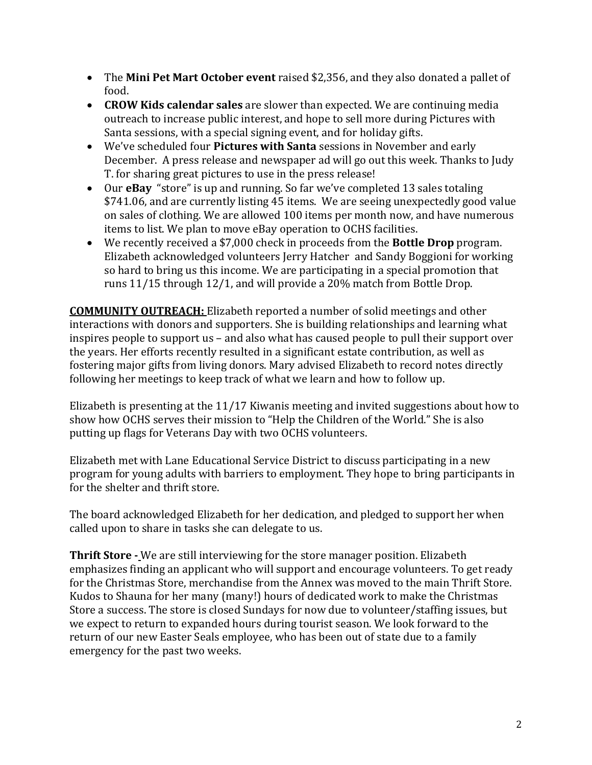- The **Mini Pet Mart October event** raised \$2,356, and they also donated a pallet of food.
- **CROW Kids calendar sales** are slower than expected. We are continuing media outreach to increase public interest, and hope to sell more during Pictures with Santa sessions, with a special signing event, and for holiday gifts.
- We've scheduled four **Pictures with Santa** sessions in November and early December. A press release and newspaper ad will go out this week. Thanks to Judy T. for sharing great pictures to use in the press release!
- Our **eBay** "store" is up and running. So far we've completed 13 sales totaling \$741.06, and are currently listing 45 items. We are seeing unexpectedly good value on sales of clothing. We are allowed 100 items per month now, and have numerous items to list. We plan to move eBay operation to OCHS facilities.
- We recently received a \$7,000 check in proceeds from the **Bottle Drop** program. Elizabeth acknowledged volunteers Jerry Hatcher and Sandy Boggioni for working so hard to bring us this income. We are participating in a special promotion that runs 11/15 through 12/1, and will provide a 20% match from Bottle Drop.

**COMMUNITY OUTREACH:** Elizabeth reported a number of solid meetings and other interactions with donors and supporters. She is building relationships and learning what inspires people to support us – and also what has caused people to pull their support over the years. Her efforts recently resulted in a significant estate contribution, as well as fostering major gifts from living donors. Mary advised Elizabeth to record notes directly following her meetings to keep track of what we learn and how to follow up.

Elizabeth is presenting at the 11/17 Kiwanis meeting and invited suggestions about how to show how OCHS serves their mission to "Help the Children of the World." She is also putting up flags for Veterans Day with two OCHS volunteers.

Elizabeth met with Lane Educational Service District to discuss participating in a new program for young adults with barriers to employment. They hope to bring participants in for the shelter and thrift store.

The board acknowledged Elizabeth for her dedication, and pledged to support her when called upon to share in tasks she can delegate to us.

**Thrift Store -** We are still interviewing for the store manager position. Elizabeth emphasizes finding an applicant who will support and encourage volunteers. To get ready for the Christmas Store, merchandise from the Annex was moved to the main Thrift Store. Kudos to Shauna for her many (many!) hours of dedicated work to make the Christmas Store a success. The store is closed Sundays for now due to volunteer/staffing issues, but we expect to return to expanded hours during tourist season. We look forward to the return of our new Easter Seals employee, who has been out of state due to a family emergency for the past two weeks.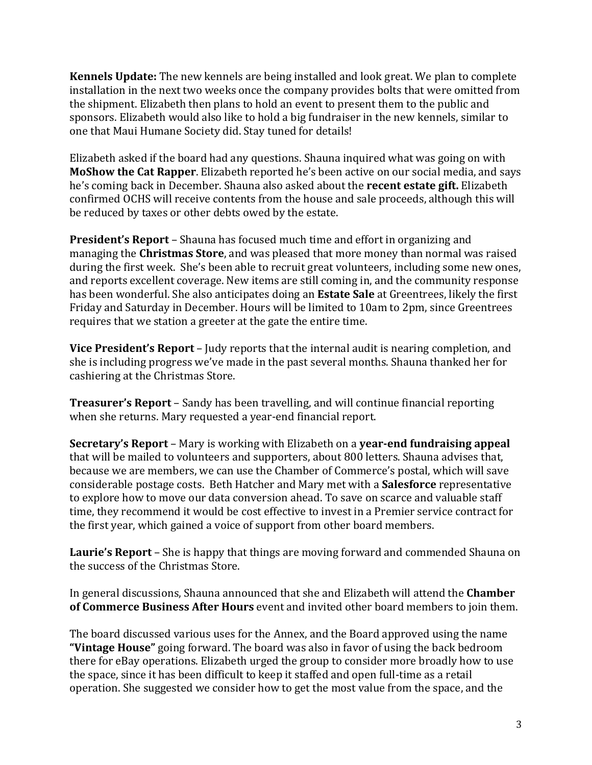**Kennels Update:** The new kennels are being installed and look great. We plan to complete installation in the next two weeks once the company provides bolts that were omitted from the shipment. Elizabeth then plans to hold an event to present them to the public and sponsors. Elizabeth would also like to hold a big fundraiser in the new kennels, similar to one that Maui Humane Society did. Stay tuned for details!

Elizabeth asked if the board had any questions. Shauna inquired what was going on with **MoShow the Cat Rapper**. Elizabeth reported he's been active on our social media, and says he's coming back in December. Shauna also asked about the **recent estate gift.** Elizabeth confirmed OCHS will receive contents from the house and sale proceeds, although this will be reduced by taxes or other debts owed by the estate.

**President's Report** – Shauna has focused much time and effort in organizing and managing the **Christmas Store**, and was pleased that more money than normal was raised during the first week. She's been able to recruit great volunteers, including some new ones, and reports excellent coverage. New items are still coming in, and the community response has been wonderful. She also anticipates doing an **Estate Sale** at Greentrees, likely the first Friday and Saturday in December. Hours will be limited to 10am to 2pm, since Greentrees requires that we station a greeter at the gate the entire time.

**Vice President's Report** – Judy reports that the internal audit is nearing completion, and she is including progress we've made in the past several months. Shauna thanked her for cashiering at the Christmas Store.

**Treasurer's Report** – Sandy has been travelling, and will continue financial reporting when she returns. Mary requested a year-end financial report.

**Secretary's Report** – Mary is working with Elizabeth on a **year-end fundraising appeal** that will be mailed to volunteers and supporters, about 800 letters. Shauna advises that, because we are members, we can use the Chamber of Commerce's postal, which will save considerable postage costs. Beth Hatcher and Mary met with a **Salesforce** representative to explore how to move our data conversion ahead. To save on scarce and valuable staff time, they recommend it would be cost effective to invest in a Premier service contract for the first year, which gained a voice of support from other board members.

**Laurie's Report** – She is happy that things are moving forward and commended Shauna on the success of the Christmas Store.

In general discussions, Shauna announced that she and Elizabeth will attend the **Chamber of Commerce Business After Hours** event and invited other board members to join them.

The board discussed various uses for the Annex, and the Board approved using the name **"Vintage House"** going forward. The board was also in favor of using the back bedroom there for eBay operations. Elizabeth urged the group to consider more broadly how to use the space, since it has been difficult to keep it staffed and open full-time as a retail operation. She suggested we consider how to get the most value from the space, and the